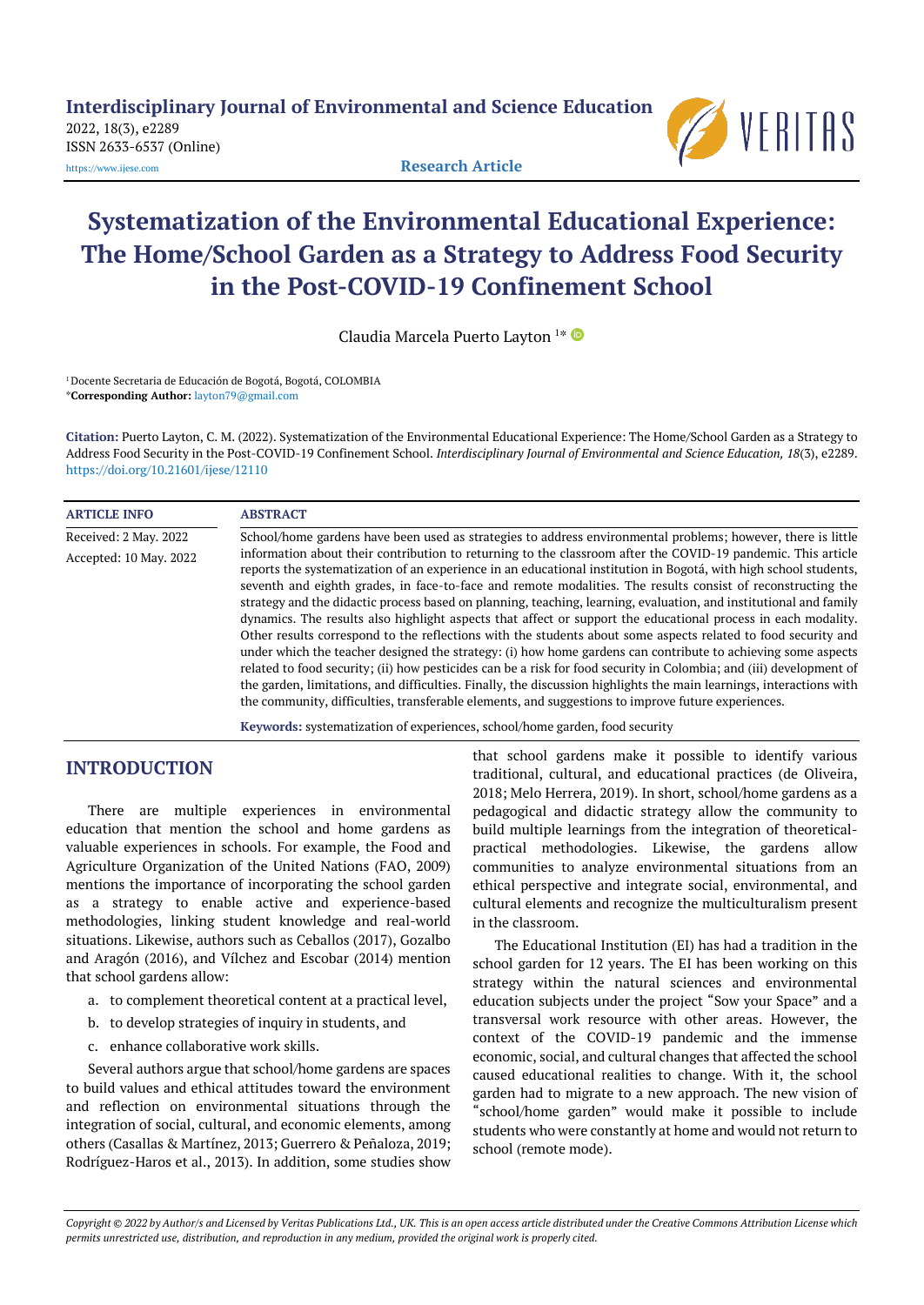**Interdisciplinary Journal of Environmental and Science Education**

2022, 18(3), e2289 ISSN 2633-6537 (Online)



[https://www.ijese.com](https://www.ijese.com/) **Research Article**

# **Systematization of the Environmental Educational Experience: The Home/School Garden as a Strategy to Address Food Security in the Post-COVID-19 Confinement School**

Claudia Marcela Puerto Layton <sup>1</sup> \*

<sup>1</sup> Docente Secretaria de Educación de Bogotá, Bogotá, COLOMBIA \***Corresponding Author:** [layton79@gmail.com](mailto:layton79@gmail.com)

**Citation:** Puerto Layton, C. M. (2022). Systematization of the Environmental Educational Experience: The Home/School Garden as a Strategy to Address Food Security in the Post-COVID-19 Confinement School. *Interdisciplinary Journal of Environmental and Science Education, 18*(3), e2289. <https://doi.org/10.21601/ijese/12110>

| <b>ARTICLE INFO</b>    | <b>ABSTRACT</b>                                                                                                                                                                                                                                                                                                                                                                                                                                                                                                                                                                                                                                                                                                                                                                                                                                                                                                                                                                                                                                                                                                                                                                                                                                           |
|------------------------|-----------------------------------------------------------------------------------------------------------------------------------------------------------------------------------------------------------------------------------------------------------------------------------------------------------------------------------------------------------------------------------------------------------------------------------------------------------------------------------------------------------------------------------------------------------------------------------------------------------------------------------------------------------------------------------------------------------------------------------------------------------------------------------------------------------------------------------------------------------------------------------------------------------------------------------------------------------------------------------------------------------------------------------------------------------------------------------------------------------------------------------------------------------------------------------------------------------------------------------------------------------|
| Received: 2 May. 2022  | School/home gardens have been used as strategies to address environmental problems; however, there is little                                                                                                                                                                                                                                                                                                                                                                                                                                                                                                                                                                                                                                                                                                                                                                                                                                                                                                                                                                                                                                                                                                                                              |
| Accepted: 10 May. 2022 | information about their contribution to returning to the classroom after the COVID-19 pandemic. This article<br>reports the systematization of an experience in an educational institution in Bogotá, with high school students,<br>seventh and eighth grades, in face-to-face and remote modalities. The results consist of reconstructing the<br>strategy and the didactic process based on planning, teaching, learning, evaluation, and institutional and family<br>dynamics. The results also highlight aspects that affect or support the educational process in each modality.<br>Other results correspond to the reflections with the students about some aspects related to food security and<br>under which the teacher designed the strategy: (i) how home gardens can contribute to achieving some aspects<br>related to food security; (ii) how pesticides can be a risk for food security in Colombia; and (iii) development of<br>the garden, limitations, and difficulties. Finally, the discussion highlights the main learnings, interactions with<br>the community, difficulties, transferable elements, and suggestions to improve future experiences.<br>Keywords: systematization of experiences, school/home garden, food security |

# **INTRODUCTION**

There are multiple experiences in environmental education that mention the school and home gardens as valuable experiences in schools. For example, the Food and Agriculture Organization of the United Nations (FAO, 2009) mentions the importance of incorporating the school garden as a strategy to enable active and experience-based methodologies, linking student knowledge and real-world situations. Likewise, authors such as Ceballos (2017), Gozalbo and Aragón (2016), and Vílchez and Escobar (2014) mention that school gardens allow:

- a. to complement theoretical content at a practical level,
- b. to develop strategies of inquiry in students, and
- c. enhance collaborative work skills.

Several authors argue that school/home gardens are spaces to build values and ethical attitudes toward the environment and reflection on environmental situations through the integration of social, cultural, and economic elements, among others (Casallas & Martínez, 2013; Guerrero & Peñaloza, 2019; Rodríguez-Haros et al., 2013). In addition, some studies show

that school gardens make it possible to identify various traditional, cultural, and educational practices (de Oliveira, 2018; Melo Herrera, 2019). In short, school/home gardens as a pedagogical and didactic strategy allow the community to build multiple learnings from the integration of theoreticalpractical methodologies. Likewise, the gardens allow communities to analyze environmental situations from an ethical perspective and integrate social, environmental, and cultural elements and recognize the multiculturalism present in the classroom.

The Educational Institution (EI) has had a tradition in the school garden for 12 years. The EI has been working on this strategy within the natural sciences and environmental education subjects under the project "Sow your Space" and a transversal work resource with other areas. However, the context of the COVID-19 pandemic and the immense economic, social, and cultural changes that affected the school caused educational realities to change. With it, the school garden had to migrate to a new approach. The new vision of "school/home garden" would make it possible to include students who were constantly at home and would not return to school (remote mode).

Copyright @ 2022 by Author/s and Licensed by Veritas Publications Ltd., UK. This is an open access article distributed under the Creative Commons Attribution License which permits unrestricted use, distribution, and reproduction in any medium, provided the original work is properly cited.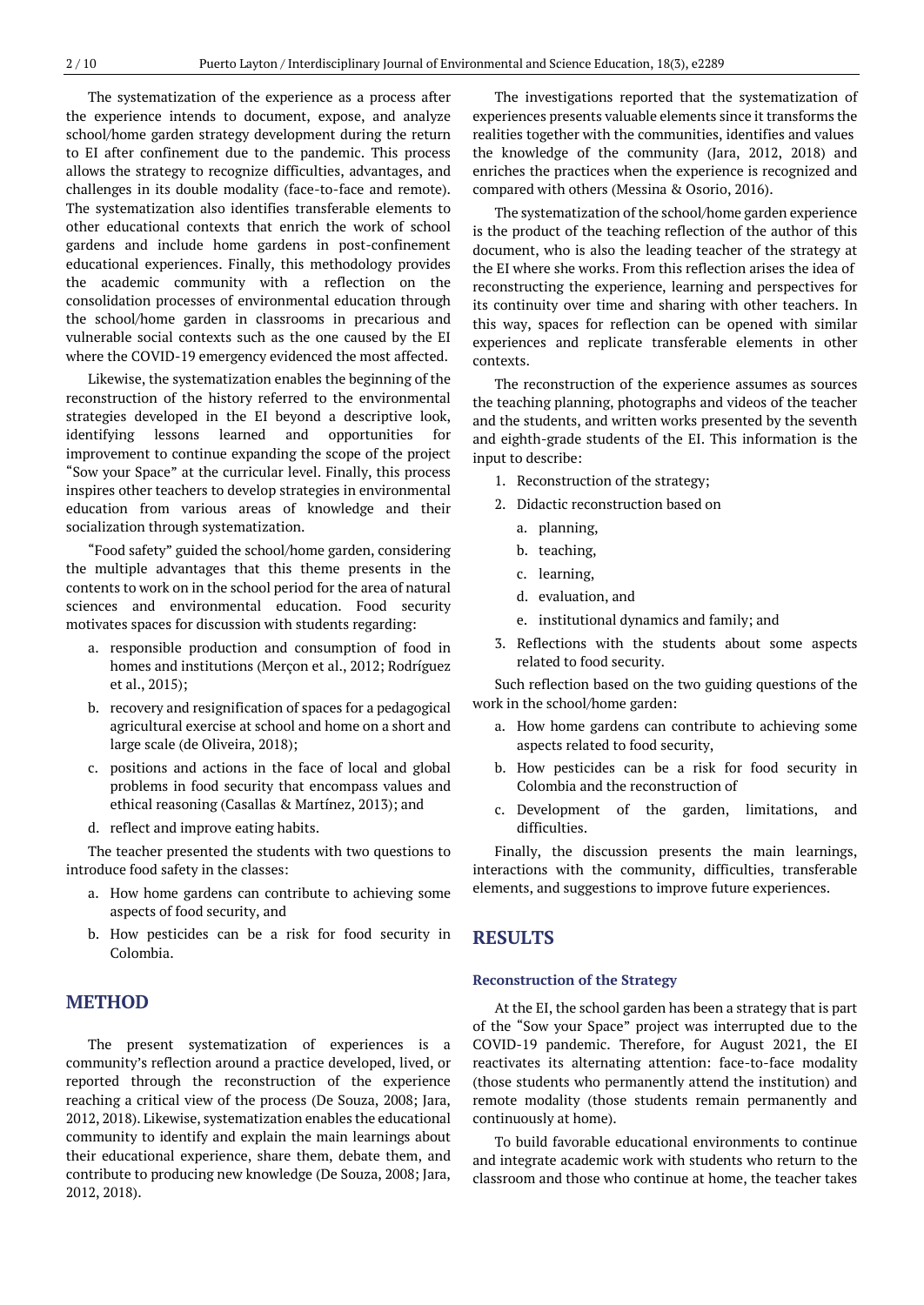The systematization of the experience as a process after the experience intends to document, expose, and analyze school/home garden strategy development during the return to EI after confinement due to the pandemic. This process allows the strategy to recognize difficulties, advantages, and challenges in its double modality (face-to-face and remote). The systematization also identifies transferable elements to other educational contexts that enrich the work of school gardens and include home gardens in post-confinement educational experiences. Finally, this methodology provides the academic community with a reflection on the consolidation processes of environmental education through the school/home garden in classrooms in precarious and vulnerable social contexts such as the one caused by the EI where the COVID-19 emergency evidenced the most affected.

Likewise, the systematization enables the beginning of the reconstruction of the history referred to the environmental strategies developed in the EI beyond a descriptive look, identifying lessons learned and opportunities for improvement to continue expanding the scope of the project "Sow your Space" at the curricular level. Finally, this process inspires other teachers to develop strategies in environmental education from various areas of knowledge and their socialization through systematization.

"Food safety" guided the school/home garden, considering the multiple advantages that this theme presents in the contents to work on in the school period for the area of natural sciences and environmental education. Food security motivates spaces for discussion with students regarding:

- a. responsible production and consumption of food in homes and institutions (Merçon et al., 2012; Rodríguez et al., 2015);
- b. recovery and resignification of spaces for a pedagogical agricultural exercise at school and home on a short and large scale (de Oliveira, 2018);
- c. positions and actions in the face of local and global problems in food security that encompass values and ethical reasoning (Casallas & Martínez, 2013); and
- d. reflect and improve eating habits.

The teacher presented the students with two questions to introduce food safety in the classes:

- a. How home gardens can contribute to achieving some aspects of food security, and
- b. How pesticides can be a risk for food security in Colombia.

# **METHOD**

The present systematization of experiences is a community's reflection around a practice developed, lived, or reported through the reconstruction of the experience reaching a critical view of the process (De Souza, 2008; Jara, 2012, 2018). Likewise, systematization enables the educational community to identify and explain the main learnings about their educational experience, share them, debate them, and contribute to producing new knowledge (De Souza, 2008; Jara, 2012, 2018).

The investigations reported that the systematization of experiences presents valuable elements since it transforms the realities together with the communities, identifies and values the knowledge of the community (Jara, 2012, 2018) and enriches the practices when the experience is recognized and compared with others (Messina & Osorio, 2016).

The systematization of the school/home garden experience is the product of the teaching reflection of the author of this document, who is also the leading teacher of the strategy at the EI where she works. From this reflection arises the idea of reconstructing the experience, learning and perspectives for its continuity over time and sharing with other teachers. In this way, spaces for reflection can be opened with similar experiences and replicate transferable elements in other contexts.

The reconstruction of the experience assumes as sources the teaching planning, photographs and videos of the teacher and the students, and written works presented by the seventh and eighth-grade students of the EI. This information is the input to describe:

- 1. Reconstruction of the strategy;
- 2. Didactic reconstruction based on
	- a. planning,
	- b. teaching,
	- c. learning,
	- d. evaluation, and
	- e. institutional dynamics and family; and
- 3. Reflections with the students about some aspects related to food security.

Such reflection based on the two guiding questions of the work in the school/home garden:

- a. How home gardens can contribute to achieving some aspects related to food security,
- b. How pesticides can be a risk for food security in Colombia and the reconstruction of
- c. Development of the garden, limitations, and difficulties.

Finally, the discussion presents the main learnings, interactions with the community, difficulties, transferable elements, and suggestions to improve future experiences.

## **RESULTS**

#### **Reconstruction of the Strategy**

At the EI, the school garden has been a strategy that is part of the "Sow your Space" project was interrupted due to the COVID-19 pandemic. Therefore, for August 2021, the EI reactivates its alternating attention: face-to-face modality (those students who permanently attend the institution) and remote modality (those students remain permanently and continuously at home).

To build favorable educational environments to continue and integrate academic work with students who return to the classroom and those who continue at home, the teacher takes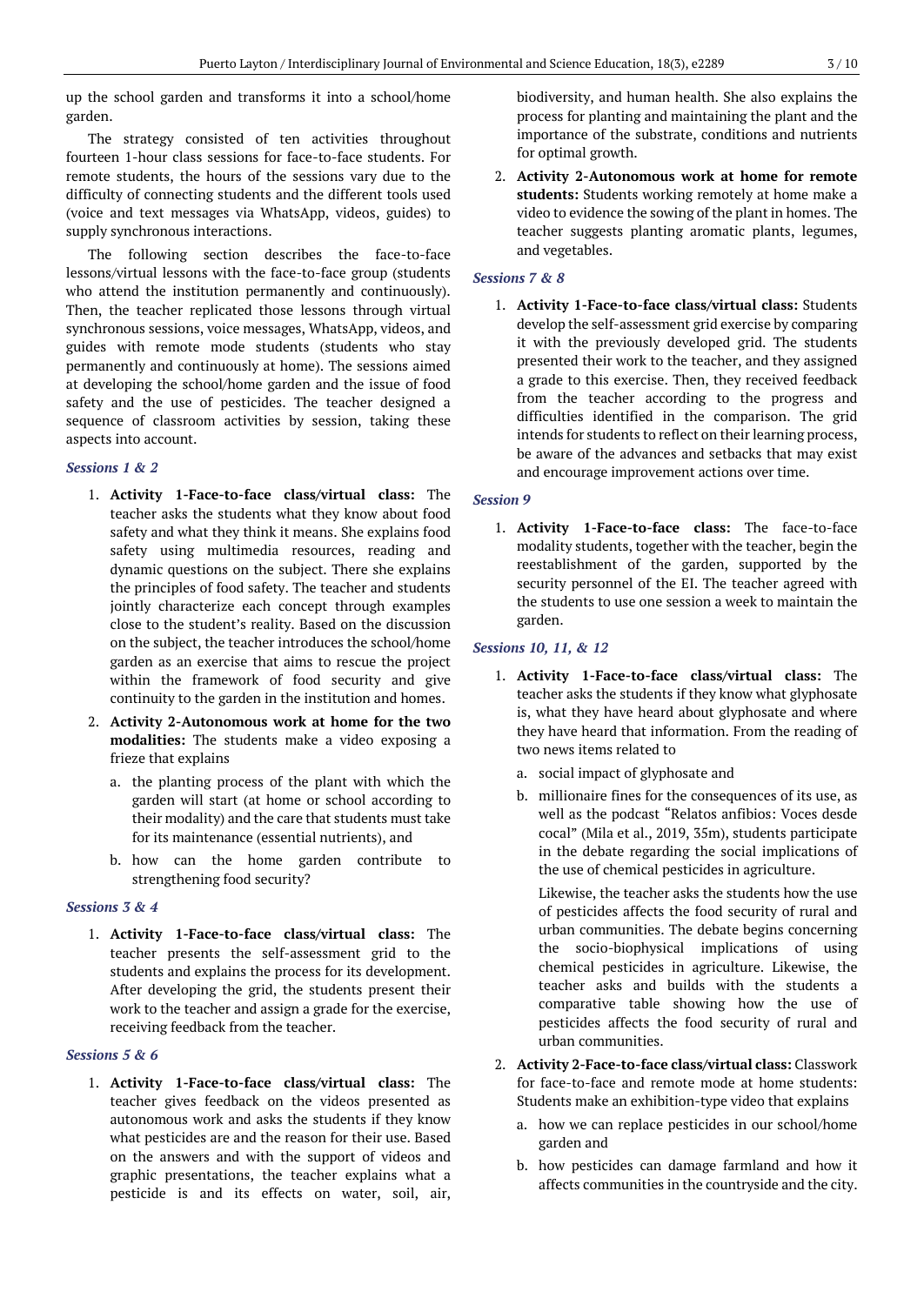up the school garden and transforms it into a school/home garden.

The strategy consisted of ten activities throughout fourteen 1-hour class sessions for face-to-face students. For remote students, the hours of the sessions vary due to the difficulty of connecting students and the different tools used (voice and text messages via WhatsApp, videos, guides) to supply synchronous interactions.

The following section describes the face-to-face lessons/virtual lessons with the face-to-face group (students who attend the institution permanently and continuously). Then, the teacher replicated those lessons through virtual synchronous sessions, voice messages, WhatsApp, videos, and guides with remote mode students (students who stay permanently and continuously at home). The sessions aimed at developing the school/home garden and the issue of food safety and the use of pesticides. The teacher designed a sequence of classroom activities by session, taking these aspects into account.

## *Sessions 1 & 2*

- 1. **Activity 1-Face-to-face class/virtual class:** The teacher asks the students what they know about food safety and what they think it means. She explains food safety using multimedia resources, reading and dynamic questions on the subject. There she explains the principles of food safety. The teacher and students jointly characterize each concept through examples close to the student's reality. Based on the discussion on the subject, the teacher introduces the school/home garden as an exercise that aims to rescue the project within the framework of food security and give continuity to the garden in the institution and homes.
- 2. **Activity 2-Autonomous work at home for the two modalities:** The students make a video exposing a frieze that explains
	- a. the planting process of the plant with which the garden will start (at home or school according to their modality) and the care that students must take for its maintenance (essential nutrients), and
	- b. how can the home garden contribute to strengthening food security?

#### *Sessions 3 & 4*

1. **Activity 1-Face-to-face class/virtual class:** The teacher presents the self-assessment grid to the students and explains the process for its development. After developing the grid, the students present their work to the teacher and assign a grade for the exercise, receiving feedback from the teacher.

## *Sessions 5 & 6*

1. **Activity 1-Face-to-face class/virtual class:** The teacher gives feedback on the videos presented as autonomous work and asks the students if they know what pesticides are and the reason for their use. Based on the answers and with the support of videos and graphic presentations, the teacher explains what a pesticide is and its effects on water, soil, air,

biodiversity, and human health. She also explains the process for planting and maintaining the plant and the importance of the substrate, conditions and nutrients for optimal growth.

2. **Activity 2-Autonomous work at home for remote students:** Students working remotely at home make a video to evidence the sowing of the plant in homes. The teacher suggests planting aromatic plants, legumes, and vegetables.

#### *Sessions 7 & 8*

1. **Activity 1-Face-to-face class/virtual class:** Students develop the self-assessment grid exercise by comparing it with the previously developed grid. The students presented their work to the teacher, and they assigned a grade to this exercise. Then, they received feedback from the teacher according to the progress and difficulties identified in the comparison. The grid intends for students to reflect on their learning process, be aware of the advances and setbacks that may exist and encourage improvement actions over time.

#### *Session 9*

1. **Activity 1-Face-to-face class:** The face-to-face modality students, together with the teacher, begin the reestablishment of the garden, supported by the security personnel of the EI. The teacher agreed with the students to use one session a week to maintain the garden.

## *Sessions 10, 11, & 12*

- 1. **Activity 1-Face-to-face class/virtual class:** The teacher asks the students if they know what glyphosate is, what they have heard about glyphosate and where they have heard that information. From the reading of two news items related to
	- a. social impact of glyphosate and
	- b. millionaire fines for the consequences of its use, as well as the podcast "Relatos anfibios: Voces desde cocal" (Mila et al., 2019, 35m), students participate in the debate regarding the social implications of the use of chemical pesticides in agriculture.

Likewise, the teacher asks the students how the use of pesticides affects the food security of rural and urban communities. The debate begins concerning the socio-biophysical implications of using chemical pesticides in agriculture. Likewise, the teacher asks and builds with the students a comparative table showing how the use of pesticides affects the food security of rural and urban communities.

- 2. **Activity 2-Face-to-face class/virtual class:** Classwork for face-to-face and remote mode at home students: Students make an exhibition-type video that explains
	- a. how we can replace pesticides in our school/home garden and
	- b. how pesticides can damage farmland and how it affects communities in the countryside and the city.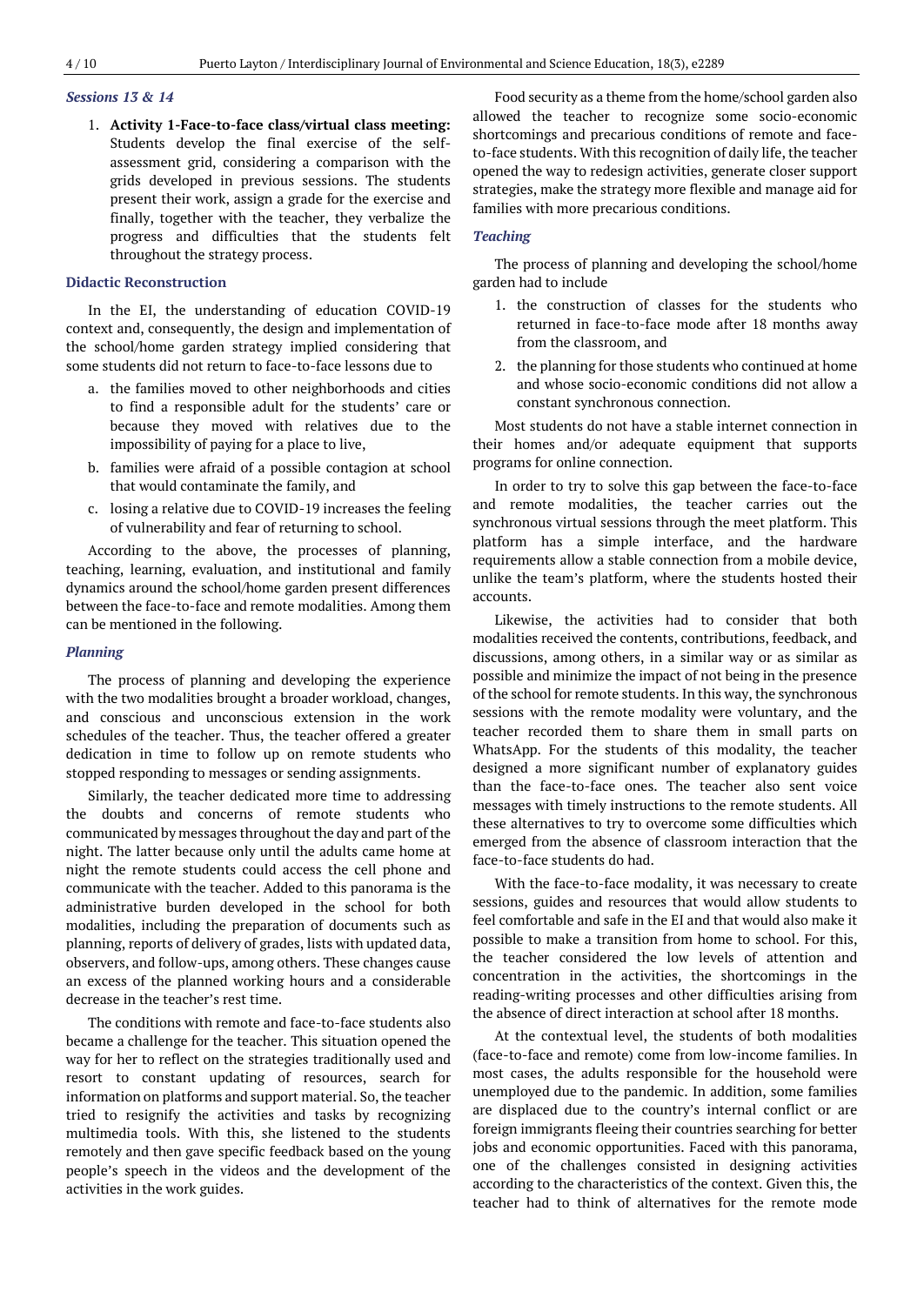## *Sessions 13 & 14*

1. **Activity 1-Face-to-face class/virtual class meeting:** Students develop the final exercise of the selfassessment grid, considering a comparison with the grids developed in previous sessions. The students present their work, assign a grade for the exercise and finally, together with the teacher, they verbalize the progress and difficulties that the students felt throughout the strategy process.

#### **Didactic Reconstruction**

In the EI, the understanding of education COVID-19 context and, consequently, the design and implementation of the school/home garden strategy implied considering that some students did not return to face-to-face lessons due to

- a. the families moved to other neighborhoods and cities to find a responsible adult for the students' care or because they moved with relatives due to the impossibility of paying for a place to live,
- b. families were afraid of a possible contagion at school that would contaminate the family, and
- c. losing a relative due to COVID-19 increases the feeling of vulnerability and fear of returning to school.

According to the above, the processes of planning, teaching, learning, evaluation, and institutional and family dynamics around the school/home garden present differences between the face-to-face and remote modalities. Among them can be mentioned in the following.

#### *Planning*

The process of planning and developing the experience with the two modalities brought a broader workload, changes, and conscious and unconscious extension in the work schedules of the teacher. Thus, the teacher offered a greater dedication in time to follow up on remote students who stopped responding to messages or sending assignments.

Similarly, the teacher dedicated more time to addressing the doubts and concerns of remote students who communicated by messages throughout the day and part of the night. The latter because only until the adults came home at night the remote students could access the cell phone and communicate with the teacher. Added to this panorama is the administrative burden developed in the school for both modalities, including the preparation of documents such as planning, reports of delivery of grades, lists with updated data, observers, and follow-ups, among others. These changes cause an excess of the planned working hours and a considerable decrease in the teacher's rest time.

The conditions with remote and face-to-face students also became a challenge for the teacher. This situation opened the way for her to reflect on the strategies traditionally used and resort to constant updating of resources, search for information on platforms and support material. So, the teacher tried to resignify the activities and tasks by recognizing multimedia tools. With this, she listened to the students remotely and then gave specific feedback based on the young people's speech in the videos and the development of the activities in the work guides.

Food security as a theme from the home/school garden also allowed the teacher to recognize some socio-economic shortcomings and precarious conditions of remote and faceto-face students. With this recognition of daily life, the teacher opened the way to redesign activities, generate closer support strategies, make the strategy more flexible and manage aid for families with more precarious conditions.

#### *Teaching*

The process of planning and developing the school/home garden had to include

- 1. the construction of classes for the students who returned in face-to-face mode after 18 months away from the classroom, and
- 2. the planning for those students who continued at home and whose socio-economic conditions did not allow a constant synchronous connection.

Most students do not have a stable internet connection in their homes and/or adequate equipment that supports programs for online connection.

In order to try to solve this gap between the face-to-face and remote modalities, the teacher carries out the synchronous virtual sessions through the meet platform. This platform has a simple interface, and the hardware requirements allow a stable connection from a mobile device, unlike the team's platform, where the students hosted their accounts.

Likewise, the activities had to consider that both modalities received the contents, contributions, feedback, and discussions, among others, in a similar way or as similar as possible and minimize the impact of not being in the presence of the school for remote students. In this way, the synchronous sessions with the remote modality were voluntary, and the teacher recorded them to share them in small parts on WhatsApp. For the students of this modality, the teacher designed a more significant number of explanatory guides than the face-to-face ones. The teacher also sent voice messages with timely instructions to the remote students. All these alternatives to try to overcome some difficulties which emerged from the absence of classroom interaction that the face-to-face students do had.

With the face-to-face modality, it was necessary to create sessions, guides and resources that would allow students to feel comfortable and safe in the EI and that would also make it possible to make a transition from home to school. For this, the teacher considered the low levels of attention and concentration in the activities, the shortcomings in the reading-writing processes and other difficulties arising from the absence of direct interaction at school after 18 months.

At the contextual level, the students of both modalities (face-to-face and remote) come from low-income families. In most cases, the adults responsible for the household were unemployed due to the pandemic. In addition, some families are displaced due to the country's internal conflict or are foreign immigrants fleeing their countries searching for better jobs and economic opportunities. Faced with this panorama, one of the challenges consisted in designing activities according to the characteristics of the context. Given this, the teacher had to think of alternatives for the remote mode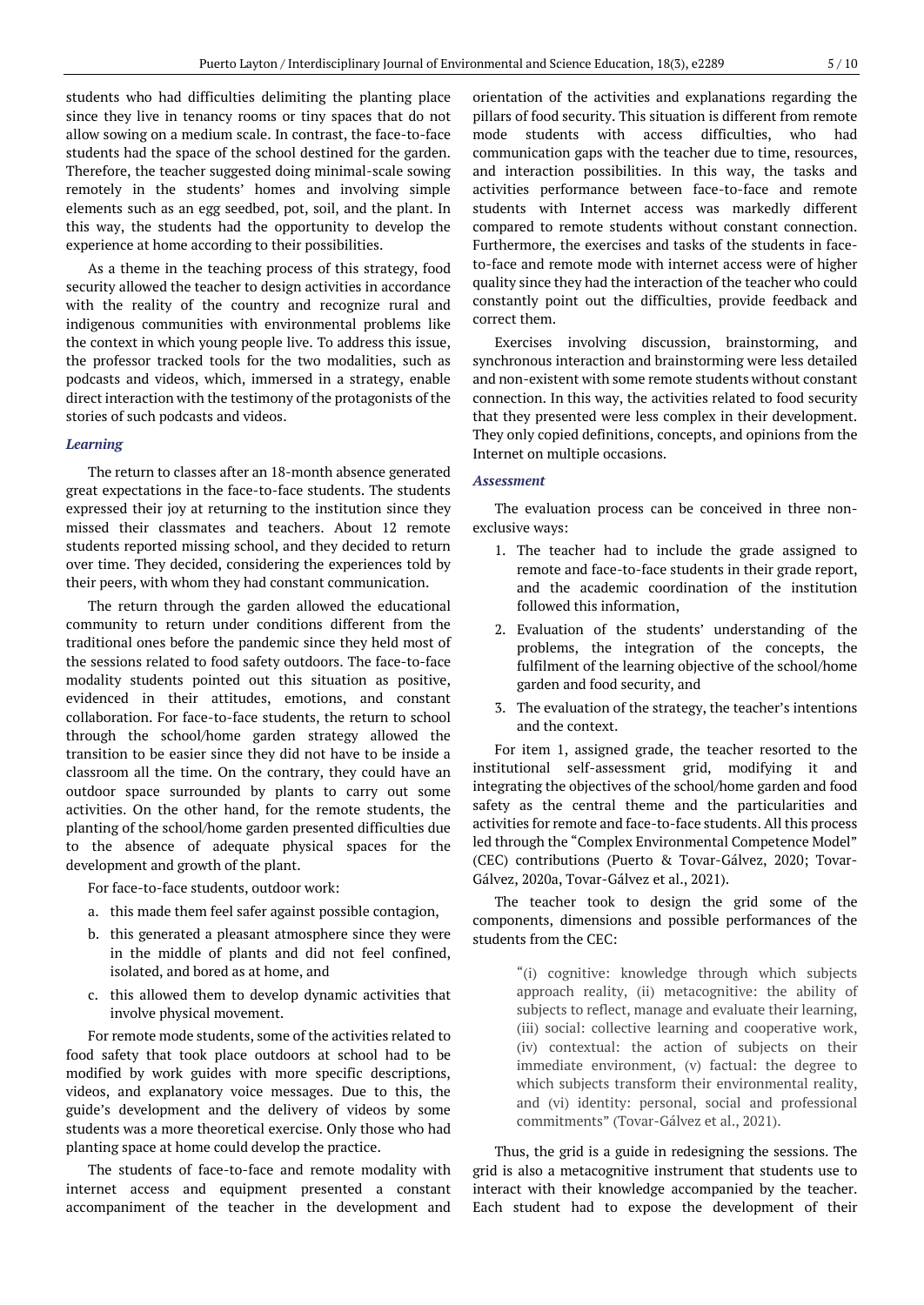students who had difficulties delimiting the planting place since they live in tenancy rooms or tiny spaces that do not allow sowing on a medium scale. In contrast, the face-to-face students had the space of the school destined for the garden. Therefore, the teacher suggested doing minimal-scale sowing remotely in the students' homes and involving simple elements such as an egg seedbed, pot, soil, and the plant. In this way, the students had the opportunity to develop the experience at home according to their possibilities.

As a theme in the teaching process of this strategy, food security allowed the teacher to design activities in accordance with the reality of the country and recognize rural and indigenous communities with environmental problems like the context in which young people live. To address this issue, the professor tracked tools for the two modalities, such as podcasts and videos, which, immersed in a strategy, enable direct interaction with the testimony of the protagonists of the stories of such podcasts and videos.

#### *Learning*

The return to classes after an 18-month absence generated great expectations in the face-to-face students. The students expressed their joy at returning to the institution since they missed their classmates and teachers. About 12 remote students reported missing school, and they decided to return over time. They decided, considering the experiences told by their peers, with whom they had constant communication.

The return through the garden allowed the educational community to return under conditions different from the traditional ones before the pandemic since they held most of the sessions related to food safety outdoors. The face-to-face modality students pointed out this situation as positive, evidenced in their attitudes, emotions, and constant collaboration. For face-to-face students, the return to school through the school/home garden strategy allowed the transition to be easier since they did not have to be inside a classroom all the time. On the contrary, they could have an outdoor space surrounded by plants to carry out some activities. On the other hand, for the remote students, the planting of the school/home garden presented difficulties due to the absence of adequate physical spaces for the development and growth of the plant.

For face-to-face students, outdoor work:

- a. this made them feel safer against possible contagion,
- b. this generated a pleasant atmosphere since they were in the middle of plants and did not feel confined, isolated, and bored as at home, and
- c. this allowed them to develop dynamic activities that involve physical movement.

For remote mode students, some of the activities related to food safety that took place outdoors at school had to be modified by work guides with more specific descriptions, videos, and explanatory voice messages. Due to this, the guide's development and the delivery of videos by some students was a more theoretical exercise. Only those who had planting space at home could develop the practice.

The students of face-to-face and remote modality with internet access and equipment presented a constant accompaniment of the teacher in the development and

orientation of the activities and explanations regarding the pillars of food security. This situation is different from remote mode students with access difficulties, who had communication gaps with the teacher due to time, resources, and interaction possibilities. In this way, the tasks and activities performance between face-to-face and remote students with Internet access was markedly different compared to remote students without constant connection. Furthermore, the exercises and tasks of the students in faceto-face and remote mode with internet access were of higher quality since they had the interaction of the teacher who could constantly point out the difficulties, provide feedback and correct them.

Exercises involving discussion, brainstorming, and synchronous interaction and brainstorming were less detailed and non-existent with some remote students without constant connection. In this way, the activities related to food security that they presented were less complex in their development. They only copied definitions, concepts, and opinions from the Internet on multiple occasions.

#### *Assessment*

The evaluation process can be conceived in three nonexclusive ways:

- 1. The teacher had to include the grade assigned to remote and face-to-face students in their grade report, and the academic coordination of the institution followed this information,
- 2. Evaluation of the students' understanding of the problems, the integration of the concepts, the fulfilment of the learning objective of the school/home garden and food security, and
- 3. The evaluation of the strategy, the teacher's intentions and the context.

For item 1, assigned grade, the teacher resorted to the institutional self-assessment grid, modifying it and integrating the objectives of the school/home garden and food safety as the central theme and the particularities and activities for remote and face-to-face students. All this process led through the "Complex Environmental Competence Model" (CEC) contributions (Puerto & Tovar-Gálvez, 2020; Tovar-Gálvez, 2020a, Tovar-Gálvez et al., 2021).

The teacher took to design the grid some of the components, dimensions and possible performances of the students from the CEC:

> "(i) cognitive: knowledge through which subjects approach reality, (ii) metacognitive: the ability of subjects to reflect, manage and evaluate their learning, (iii) social: collective learning and cooperative work, (iv) contextual: the action of subjects on their immediate environment, (v) factual: the degree to which subjects transform their environmental reality, and (vi) identity: personal, social and professional commitments" (Tovar-Gálvez et al., 2021).

Thus, the grid is a guide in redesigning the sessions. The grid is also a metacognitive instrument that students use to interact with their knowledge accompanied by the teacher. Each student had to expose the development of their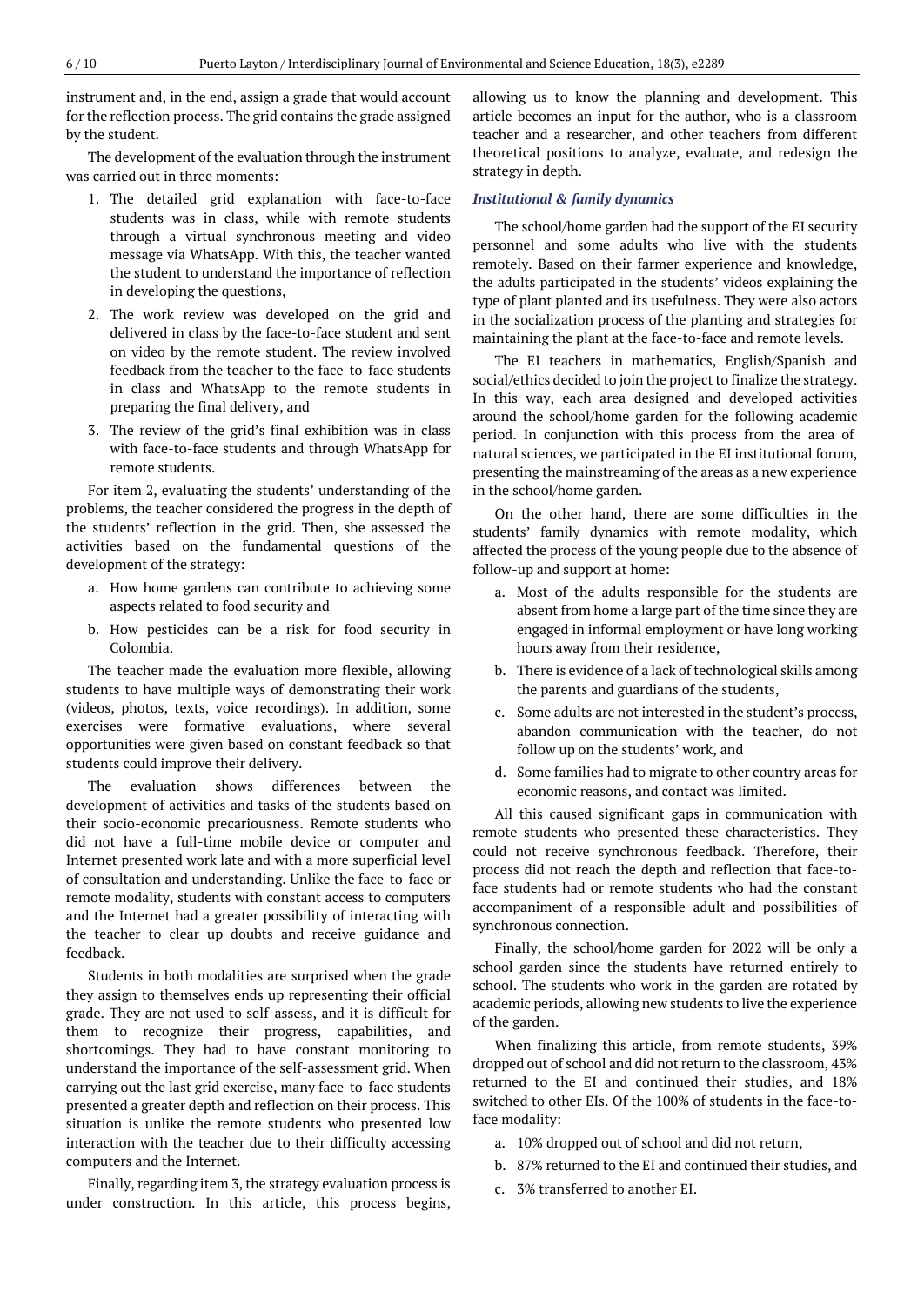instrument and, in the end, assign a grade that would account for the reflection process. The grid contains the grade assigned by the student.

The development of the evaluation through the instrument was carried out in three moments:

- 1. The detailed grid explanation with face-to-face students was in class, while with remote students through a virtual synchronous meeting and video message via WhatsApp. With this, the teacher wanted the student to understand the importance of reflection in developing the questions,
- 2. The work review was developed on the grid and delivered in class by the face-to-face student and sent on video by the remote student. The review involved feedback from the teacher to the face-to-face students in class and WhatsApp to the remote students in preparing the final delivery, and
- 3. The review of the grid's final exhibition was in class with face-to-face students and through WhatsApp for remote students.

For item 2, evaluating the students' understanding of the problems, the teacher considered the progress in the depth of the students' reflection in the grid. Then, she assessed the activities based on the fundamental questions of the development of the strategy:

- a. How home gardens can contribute to achieving some aspects related to food security and
- b. How pesticides can be a risk for food security in Colombia.

The teacher made the evaluation more flexible, allowing students to have multiple ways of demonstrating their work (videos, photos, texts, voice recordings). In addition, some exercises were formative evaluations, where several opportunities were given based on constant feedback so that students could improve their delivery.

The evaluation shows differences between the development of activities and tasks of the students based on their socio-economic precariousness. Remote students who did not have a full-time mobile device or computer and Internet presented work late and with a more superficial level of consultation and understanding. Unlike the face-to-face or remote modality, students with constant access to computers and the Internet had a greater possibility of interacting with the teacher to clear up doubts and receive guidance and feedback.

Students in both modalities are surprised when the grade they assign to themselves ends up representing their official grade. They are not used to self-assess, and it is difficult for them to recognize their progress, capabilities, and shortcomings. They had to have constant monitoring to understand the importance of the self-assessment grid. When carrying out the last grid exercise, many face-to-face students presented a greater depth and reflection on their process. This situation is unlike the remote students who presented low interaction with the teacher due to their difficulty accessing computers and the Internet.

Finally, regarding item 3, the strategy evaluation process is under construction. In this article, this process begins,

allowing us to know the planning and development. This article becomes an input for the author, who is a classroom teacher and a researcher, and other teachers from different theoretical positions to analyze, evaluate, and redesign the strategy in depth.

#### *Institutional & family dynamics*

The school/home garden had the support of the EI security personnel and some adults who live with the students remotely. Based on their farmer experience and knowledge, the adults participated in the students' videos explaining the type of plant planted and its usefulness. They were also actors in the socialization process of the planting and strategies for maintaining the plant at the face-to-face and remote levels.

The EI teachers in mathematics, English/Spanish and social/ethics decided to join the project to finalize the strategy. In this way, each area designed and developed activities around the school/home garden for the following academic period. In conjunction with this process from the area of natural sciences, we participated in the EI institutional forum, presenting the mainstreaming of the areas as a new experience in the school/home garden.

On the other hand, there are some difficulties in the students' family dynamics with remote modality, which affected the process of the young people due to the absence of follow-up and support at home:

- a. Most of the adults responsible for the students are absent from home a large part of the time since they are engaged in informal employment or have long working hours away from their residence,
- b. There is evidence of a lack of technological skills among the parents and guardians of the students,
- c. Some adults are not interested in the student's process, abandon communication with the teacher, do not follow up on the students' work, and
- d. Some families had to migrate to other country areas for economic reasons, and contact was limited.

All this caused significant gaps in communication with remote students who presented these characteristics. They could not receive synchronous feedback. Therefore, their process did not reach the depth and reflection that face-toface students had or remote students who had the constant accompaniment of a responsible adult and possibilities of synchronous connection.

Finally, the school/home garden for 2022 will be only a school garden since the students have returned entirely to school. The students who work in the garden are rotated by academic periods, allowing new students to live the experience of the garden.

When finalizing this article, from remote students, 39% dropped out of school and did not return to the classroom, 43% returned to the EI and continued their studies, and 18% switched to other EIs. Of the 100% of students in the face-toface modality:

- a. 10% dropped out of school and did not return,
- b. 87% returned to the EI and continued their studies, and
- c. 3% transferred to another EI.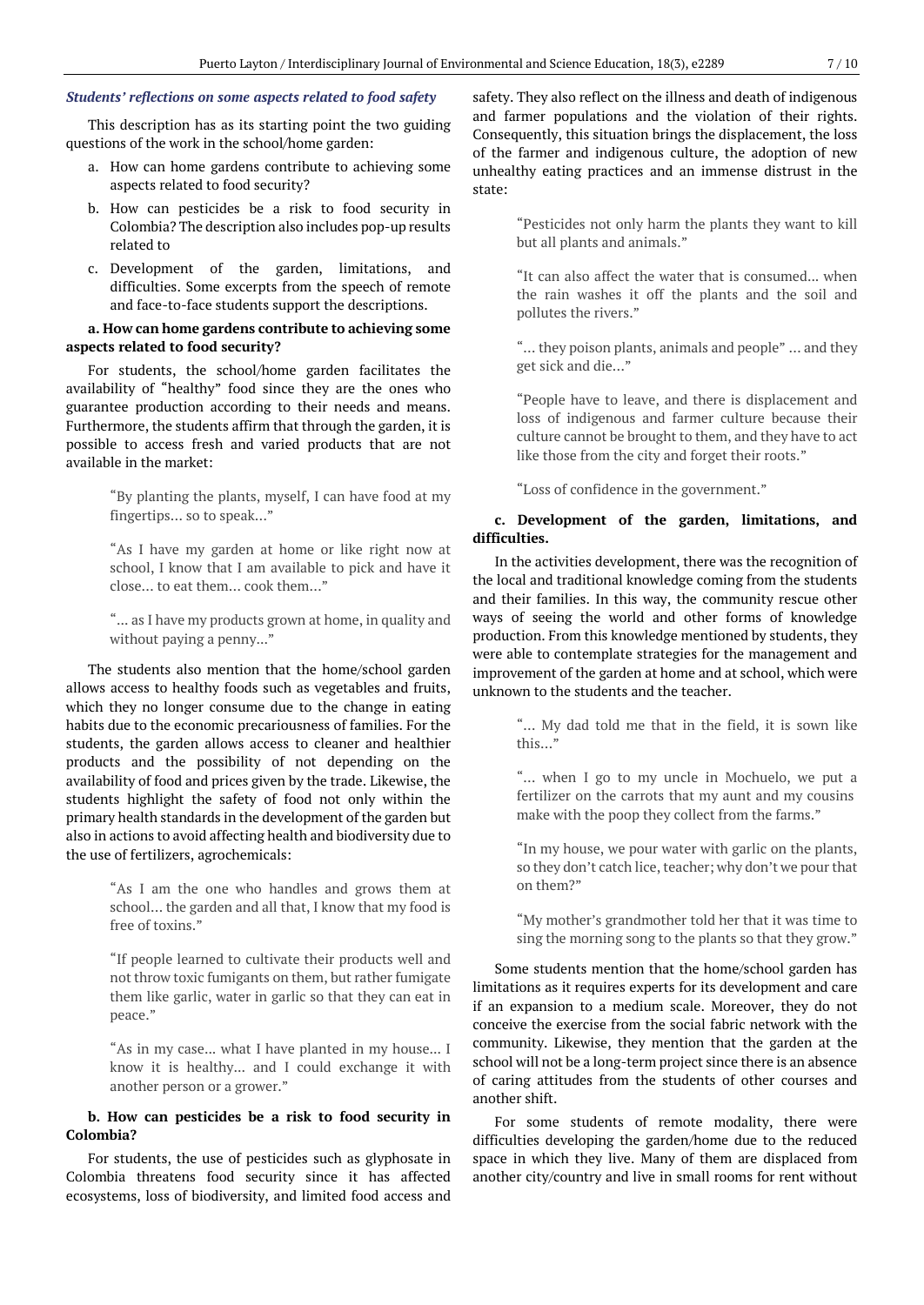#### *Students' reflections on some aspects related to food safety*

This description has as its starting point the two guiding questions of the work in the school/home garden:

- a. How can home gardens contribute to achieving some aspects related to food security?
- b. How can pesticides be a risk to food security in Colombia? The description also includes pop-up results related to
- c. Development of the garden, limitations, and difficulties. Some excerpts from the speech of remote and face-to-face students support the descriptions.

## **a. How can home gardens contribute to achieving some aspects related to food security?**

For students, the school/home garden facilitates the availability of "healthy" food since they are the ones who guarantee production according to their needs and means. Furthermore, the students affirm that through the garden, it is possible to access fresh and varied products that are not available in the market:

> "By planting the plants, myself, I can have food at my fingertips… so to speak…"

> "As I have my garden at home or like right now at school, I know that I am available to pick and have it close… to eat them… cook them…"

> "... as I have my products grown at home, in quality and without paying a penny..."

The students also mention that the home/school garden allows access to healthy foods such as vegetables and fruits, which they no longer consume due to the change in eating habits due to the economic precariousness of families. For the students, the garden allows access to cleaner and healthier products and the possibility of not depending on the availability of food and prices given by the trade. Likewise, the students highlight the safety of food not only within the primary health standards in the development of the garden but also in actions to avoid affecting health and biodiversity due to the use of fertilizers, agrochemicals:

> "As I am the one who handles and grows them at school… the garden and all that, I know that my food is free of toxins."

> "If people learned to cultivate their products well and not throw toxic fumigants on them, but rather fumigate them like garlic, water in garlic so that they can eat in peace."

> "As in my case... what I have planted in my house... I know it is healthy... and I could exchange it with another person or a grower."

## **b. How can pesticides be a risk to food security in Colombia?**

For students, the use of pesticides such as glyphosate in Colombia threatens food security since it has affected ecosystems, loss of biodiversity, and limited food access and safety. They also reflect on the illness and death of indigenous and farmer populations and the violation of their rights. Consequently, this situation brings the displacement, the loss of the farmer and indigenous culture, the adoption of new unhealthy eating practices and an immense distrust in the state:

> "Pesticides not only harm the plants they want to kill but all plants and animals."

> "It can also affect the water that is consumed... when the rain washes it off the plants and the soil and pollutes the rivers."

> "… they poison plants, animals and people" … and they get sick and die…"

> "People have to leave, and there is displacement and loss of indigenous and farmer culture because their culture cannot be brought to them, and they have to act like those from the city and forget their roots."

"Loss of confidence in the government."

## **c. Development of the garden, limitations, and difficulties.**

In the activities development, there was the recognition of the local and traditional knowledge coming from the students and their families. In this way, the community rescue other ways of seeing the world and other forms of knowledge production. From this knowledge mentioned by students, they were able to contemplate strategies for the management and improvement of the garden at home and at school, which were unknown to the students and the teacher.

> "… My dad told me that in the field, it is sown like this…"

> "… when I go to my uncle in Mochuelo, we put a fertilizer on the carrots that my aunt and my cousins make with the poop they collect from the farms."

> "In my house, we pour water with garlic on the plants, so they don't catch lice, teacher; why don't we pourthat on them?"

> "My mother's grandmother told her that it was time to sing the morning song to the plants so that they grow."

Some students mention that the home/school garden has limitations as it requires experts for its development and care if an expansion to a medium scale. Moreover, they do not conceive the exercise from the social fabric network with the community. Likewise, they mention that the garden at the school will not be a long-term project since there is an absence of caring attitudes from the students of other courses and another shift.

For some students of remote modality, there were difficulties developing the garden/home due to the reduced space in which they live. Many of them are displaced from another city/country and live in small rooms for rent without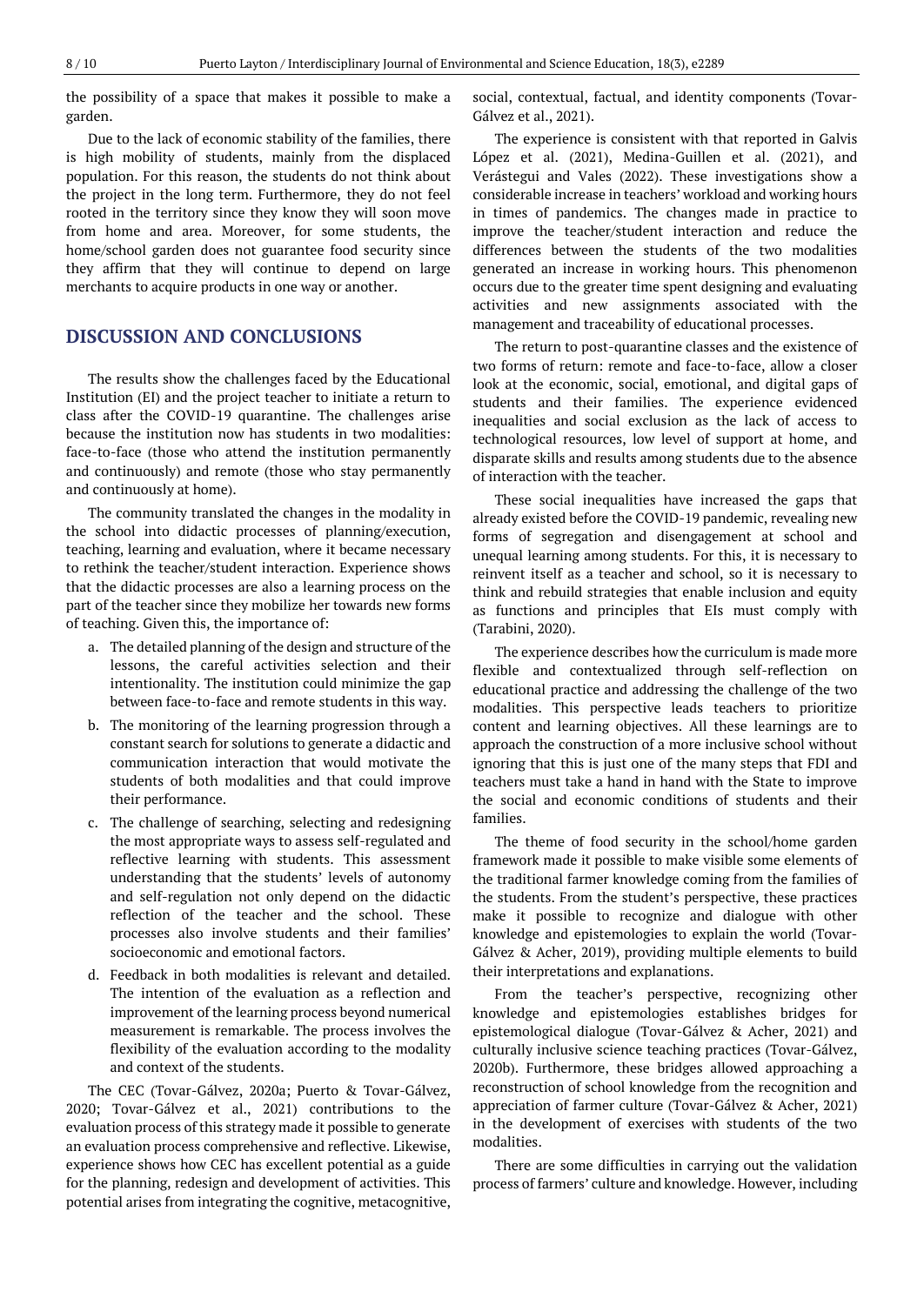the possibility of a space that makes it possible to make a garden.

Due to the lack of economic stability of the families, there is high mobility of students, mainly from the displaced population. For this reason, the students do not think about the project in the long term. Furthermore, they do not feel rooted in the territory since they know they will soon move from home and area. Moreover, for some students, the home/school garden does not guarantee food security since they affirm that they will continue to depend on large merchants to acquire products in one way or another.

## **DISCUSSION AND CONCLUSIONS**

The results show the challenges faced by the Educational Institution (EI) and the project teacher to initiate a return to class after the COVID-19 quarantine. The challenges arise because the institution now has students in two modalities: face-to-face (those who attend the institution permanently and continuously) and remote (those who stay permanently and continuously at home).

The community translated the changes in the modality in the school into didactic processes of planning/execution, teaching, learning and evaluation, where it became necessary to rethink the teacher/student interaction. Experience shows that the didactic processes are also a learning process on the part of the teacher since they mobilize her towards new forms of teaching. Given this, the importance of:

- a. The detailed planning of the design and structure of the lessons, the careful activities selection and their intentionality. The institution could minimize the gap between face-to-face and remote students in this way.
- b. The monitoring of the learning progression through a constant search for solutions to generate a didactic and communication interaction that would motivate the students of both modalities and that could improve their performance.
- c. The challenge of searching, selecting and redesigning the most appropriate ways to assess self-regulated and reflective learning with students. This assessment understanding that the students' levels of autonomy and self-regulation not only depend on the didactic reflection of the teacher and the school. These processes also involve students and their families' socioeconomic and emotional factors.
- d. Feedback in both modalities is relevant and detailed. The intention of the evaluation as a reflection and improvement of the learning process beyond numerical measurement is remarkable. The process involves the flexibility of the evaluation according to the modality and context of the students.

The CEC (Tovar-Gálvez, 2020a; Puerto & Tovar-Gálvez, 2020; Tovar-Gálvez et al., 2021) contributions to the evaluation process of this strategy made it possible to generate an evaluation process comprehensive and reflective. Likewise, experience shows how CEC has excellent potential as a guide for the planning, redesign and development of activities. This potential arises from integrating the cognitive, metacognitive, social, contextual, factual, and identity components (Tovar-Gálvez et al., 2021).

The experience is consistent with that reported in Galvis López et al. (2021), Medina-Guillen et al. (2021), and Verástegui and Vales (2022). These investigations show a considerable increase in teachers' workload and working hours in times of pandemics. The changes made in practice to improve the teacher/student interaction and reduce the differences between the students of the two modalities generated an increase in working hours. This phenomenon occurs due to the greater time spent designing and evaluating activities and new assignments associated with the management and traceability of educational processes.

The return to post-quarantine classes and the existence of two forms of return: remote and face-to-face, allow a closer look at the economic, social, emotional, and digital gaps of students and their families. The experience evidenced inequalities and social exclusion as the lack of access to technological resources, low level of support at home, and disparate skills and results among students due to the absence of interaction with the teacher.

These social inequalities have increased the gaps that already existed before the COVID-19 pandemic, revealing new forms of segregation and disengagement at school and unequal learning among students. For this, it is necessary to reinvent itself as a teacher and school, so it is necessary to think and rebuild strategies that enable inclusion and equity as functions and principles that EIs must comply with (Tarabini, 2020).

The experience describes how the curriculum is made more flexible and contextualized through self-reflection on educational practice and addressing the challenge of the two modalities. This perspective leads teachers to prioritize content and learning objectives. All these learnings are to approach the construction of a more inclusive school without ignoring that this is just one of the many steps that FDI and teachers must take a hand in hand with the State to improve the social and economic conditions of students and their families.

The theme of food security in the school/home garden framework made it possible to make visible some elements of the traditional farmer knowledge coming from the families of the students. From the student's perspective, these practices make it possible to recognize and dialogue with other knowledge and epistemologies to explain the world (Tovar-Gálvez & Acher, 2019), providing multiple elements to build their interpretations and explanations.

From the teacher's perspective, recognizing other knowledge and epistemologies establishes bridges for epistemological dialogue (Tovar-Gálvez & Acher, 2021) and culturally inclusive science teaching practices (Tovar-Gálvez, 2020b). Furthermore, these bridges allowed approaching a reconstruction of school knowledge from the recognition and appreciation of farmer culture (Tovar-Gálvez & Acher, 2021) in the development of exercises with students of the two modalities.

There are some difficulties in carrying out the validation process of farmers' culture and knowledge. However, including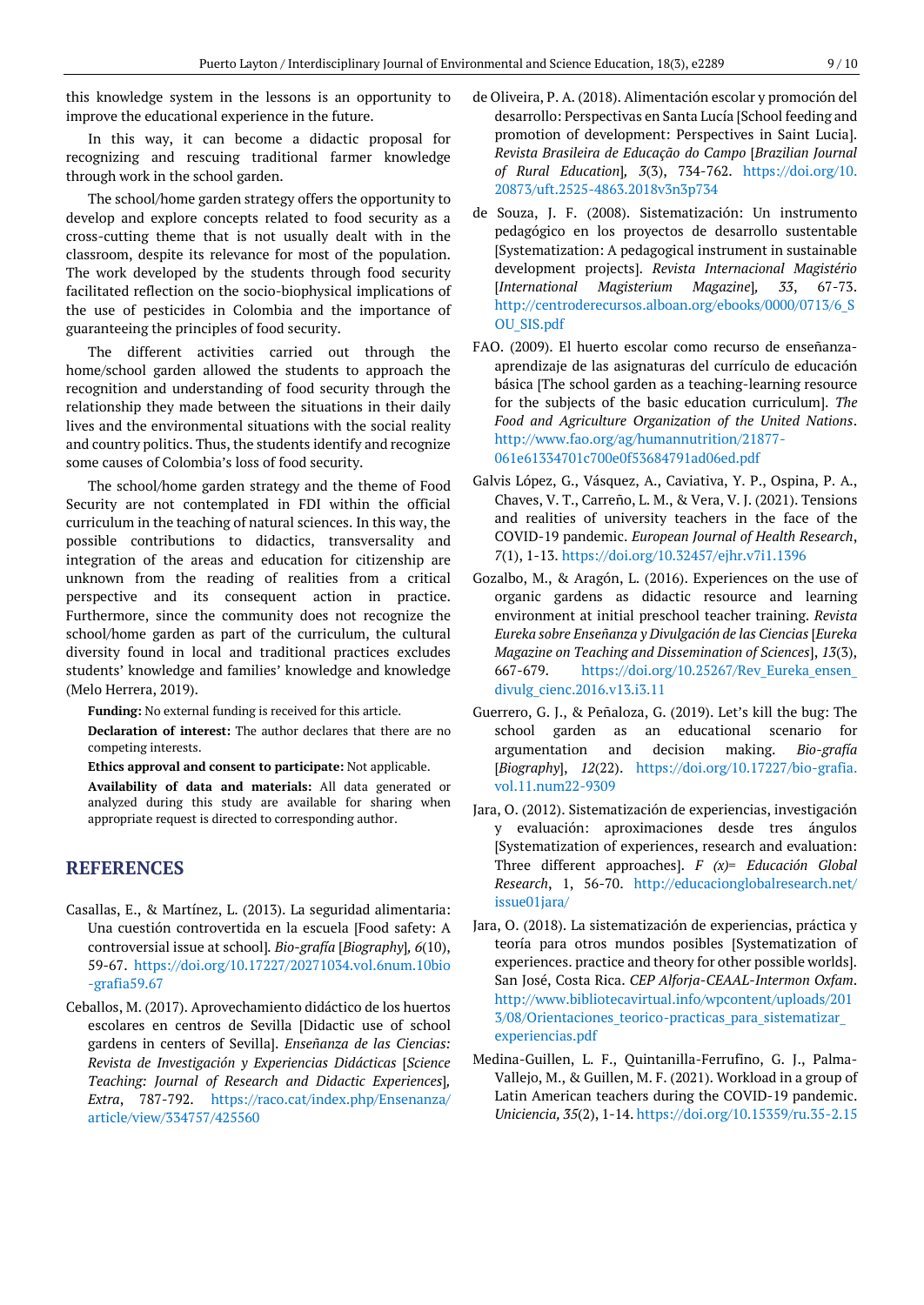this knowledge system in the lessons is an opportunity to improve the educational experience in the future.

In this way, it can become a didactic proposal for recognizing and rescuing traditional farmer knowledge through work in the school garden.

The school/home garden strategy offers the opportunity to develop and explore concepts related to food security as a cross-cutting theme that is not usually dealt with in the classroom, despite its relevance for most of the population. The work developed by the students through food security facilitated reflection on the socio-biophysical implications of the use of pesticides in Colombia and the importance of guaranteeing the principles of food security.

The different activities carried out through the home/school garden allowed the students to approach the recognition and understanding of food security through the relationship they made between the situations in their daily lives and the environmental situations with the social reality and country politics. Thus, the students identify and recognize some causes of Colombia's loss of food security.

The school/home garden strategy and the theme of Food Security are not contemplated in FDI within the official curriculum in the teaching of natural sciences. In this way, the possible contributions to didactics, transversality and integration of the areas and education for citizenship are unknown from the reading of realities from a critical perspective and its consequent action in practice. Furthermore, since the community does not recognize the school/home garden as part of the curriculum, the cultural diversity found in local and traditional practices excludes students' knowledge and families' knowledge and knowledge (Melo Herrera, 2019).

**Funding:** No external funding is received for this article.

**Declaration of interest:** The author declares that there are no competing interests.

**Ethics approval and consent to participate:** Not applicable.

**Availability of data and materials:** All data generated or analyzed during this study are available for sharing when appropriate request is directed to corresponding author.

## **REFERENCES**

- Casallas, E., & Martínez, L. (2013). La seguridad alimentaria: Una cuestión controvertida en la escuela [Food safety: A controversial issue at school]*. Bio-grafía* [*Biography*]*, 6*(10), 59-67. [https://doi.org/10.17227/20271034.vol.6num.10bio](https://doi.org/10.17227/20271034.vol.6num.10bio-grafia59.67) [-grafia59.67](https://doi.org/10.17227/20271034.vol.6num.10bio-grafia59.67)
- Ceballos, M. (2017). Aprovechamiento didáctico de los huertos escolares en centros de Sevilla [Didactic use of school gardens in centers of Sevilla]. *Enseñanza de las Ciencias: Revista de Investigación y Experiencias Didácticas* [*Science Teaching: Journal of Research and Didactic Experiences*]*, Extra*, 787-792. [https://raco.cat/index.php/Ensenanza/](https://raco.cat/index.php/Ensenanza/article/view/334757/425560) [article/view/334757/425560](https://raco.cat/index.php/Ensenanza/article/view/334757/425560)
- de Oliveira, P. A. (2018). Alimentación escolar y promoción del desarrollo: Perspectivas en Santa Lucía [School feeding and promotion of development: Perspectives in Saint Lucia]. *Revista Brasileira de Educação do Campo* [*Brazilian Journal of Rural Education*]*, 3*(3), 734-762. [https://doi.org/10.](https://doi.org/10.20873/uft.2525-4863.2018v3n3p734) [20873/uft.2525-4863.2018v3n3p734](https://doi.org/10.20873/uft.2525-4863.2018v3n3p734)
- de Souza, J. F. (2008). Sistematización: Un instrumento pedagógico en los proyectos de desarrollo sustentable [Systematization: A pedagogical instrument in sustainable development projects]. *Revista Internacional Magistério* [*International Magisterium Magazine*]*, 33*, 67-73. [http://centroderecursos.alboan.org/ebooks/0000/0713/6\\_S](http://centroderecursos.alboan.org/ebooks/0000/0713/6_SOU_SIS.pdf) [OU\\_SIS.pdf](http://centroderecursos.alboan.org/ebooks/0000/0713/6_SOU_SIS.pdf)
- FAO. (2009). El huerto escolar como recurso de enseñanzaaprendizaje de las asignaturas del currículo de educación básica [The school garden as a teaching-learning resource for the subjects of the basic education curriculum]. *The Food and Agriculture Organization of the United Nations*. [http://www.fao.org/ag/humannutrition/21877-](http://www.fao.org/ag/humannutrition/21877-061e61334701c700e0f53684791ad06ed.pdf) [061e61334701c700e0f53684791ad06ed.pdf](http://www.fao.org/ag/humannutrition/21877-061e61334701c700e0f53684791ad06ed.pdf)
- Galvis López, G., Vásquez, A., Caviativa, Y. P., Ospina, P. A., Chaves, V. T., Carreño, L. M., & Vera, V. J. (2021). Tensions and realities of university teachers in the face of the COVID-19 pandemic. *European Journal of Health Research*, *7*(1), 1-13. <https://doi.org/10.32457/ejhr.v7i1.1396>
- Gozalbo, M., & Aragón, L. (2016). Experiences on the use of organic gardens as didactic resource and learning environment at initial preschool teacher training. *Revista Eureka sobre Enseñanza y Divulgación de las Ciencias* [*Eureka Magazine on Teaching and Dissemination of Sciences*], *13*(3), 667-679. [https://doi.org/10.25267/Rev\\_Eureka\\_ensen\\_](https://doi.org/10.25267/Rev_Eureka_ensen_divulg_cienc.2016.v13.i3.11) [divulg\\_cienc.2016.v13.i3.11](https://doi.org/10.25267/Rev_Eureka_ensen_divulg_cienc.2016.v13.i3.11)
- Guerrero, G. J., & Peñaloza, G. (2019). Let's kill the bug: The school garden as an educational scenario for argumentation and decision making. *Bio-grafía* [*Biography*], *12*(22). [https://doi.org/10.17227/bio-grafia.](https://doi.org/10.17227/bio-grafia.vol.11.num22-9309) [vol.11.num22-9309](https://doi.org/10.17227/bio-grafia.vol.11.num22-9309)
- Jara, O. (2012). Sistematización de experiencias, investigación y evaluación: aproximaciones desde tres ángulos [Systematization of experiences, research and evaluation: Three different approaches]. *F (x)= Educación Global Research*, 1, 56-70. [http://educacionglobalresearch.net/](http://educacionglobalresearch.net/issue01jara/) [issue01jara/](http://educacionglobalresearch.net/issue01jara/)
- Jara, O. (2018). La sistematización de experiencias, práctica y teoría para otros mundos posibles [Systematization of experiences. practice and theory for other possible worlds]. San José, Costa Rica. *CEP Alforja-CEAAL-Intermon Oxfam*. [http://www.bibliotecavirtual.info/wpcontent/uploads/201](http://www.bibliotecavirtual.info/wpcontent/uploads/2013/08/Orientaciones_teorico-practicas_para_sistematizar_experiencias.pdf) [3/08/Orientaciones\\_teorico-practicas\\_para\\_sistematizar\\_](http://www.bibliotecavirtual.info/wpcontent/uploads/2013/08/Orientaciones_teorico-practicas_para_sistematizar_experiencias.pdf) [experiencias.pdf](http://www.bibliotecavirtual.info/wpcontent/uploads/2013/08/Orientaciones_teorico-practicas_para_sistematizar_experiencias.pdf)
- Medina-Guillen, L. F., Quintanilla-Ferrufino, G. J., Palma-Vallejo, M., & Guillen, M. F. (2021). Workload in a group of Latin American teachers during the COVID-19 pandemic. *Uniciencia, 35*(2), 1-14. <https://doi.org/10.15359/ru.35-2.15>